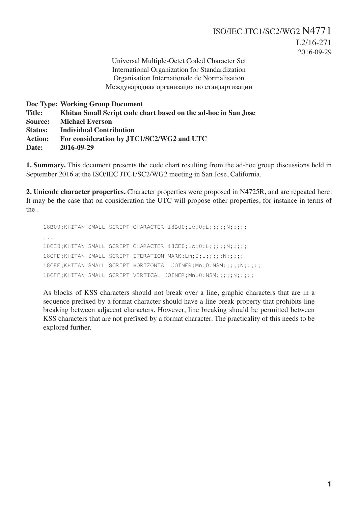Universal Multiple-Octet Coded Character Set International Organization for Standardization Organisation Internationale de Normalisation Международная организация по стандартизации

**Doc Type: Working Group Document Title: Khitan Small Script code chart based on the ad-hoc in San Jose Source: Michael Everson Status: Individual Contribution Action: For consideration by JTC1/SC2/WG2 and UTC Date: 2016-09-29**

**1. Summary.** This document presents the code chart resulting from the ad-hoc group discussions held in September 2016 at the ISO/IEC JTC1/SC2/WG2 meeting in San Jose, California.

**2. Unicode character properties.** Character properties were proposed in N4725R, and are repeated here. It may be the case that on consideration the UTC will propose other properties, for instance in terms of the .

18B00;KHITAN SMALL SCRIPT CHARACTER-18B00;Lo;0;L;;;;;N;;;;;; ... 18CE0;KHITAN SMALL SCRIPT CHARACTER-18CE0;Lo;0;L;;;;;N;;;;; 18CFD;KHITAN SMALL SCRIPT ITERATION MARK;Lm;0;L;;;;;N;;;;;; 18CFE;KHITAN SMALL SCRIPT HORIZONTAL JOINER;Mn;0;NSM;;;;;N;;;;; 18CFF;KHITAN SMALL SCRIPT VERTICAL JOINER;Mn;0;NSM;;;;;N;;;;;

As blocks of KSS characters should not break over a line, graphic characters that are in a sequence prefixed by a format character should have a line break property that prohibits line breaking between adjacent characters. However, line breaking should be permitted between KSS characters that are not prefixed by a format character. The practicality of this needs to be explored further.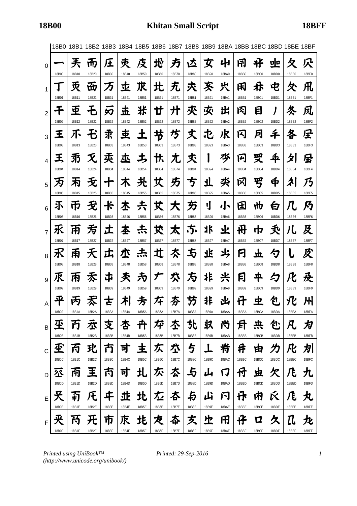|                |              |       | 18B0 18B1 18B2 18B3 18B4 18B5 18B6 18B7 18B8 18B9 18BA 18BB 18BC 18BD 18BE 18BF |                      |       |       |       |       |       |           |       |       |              |              |                           |              |
|----------------|--------------|-------|---------------------------------------------------------------------------------|----------------------|-------|-------|-------|-------|-------|-----------|-------|-------|--------------|--------------|---------------------------|--------------|
| 0              |              | 兲     | πŋ                                                                              | 庄                    | 灻     | 伎     | 地     | 方     | 区     | 女         | 41    | 闱     | 米            | 미            | 夂                         | 穴            |
|                | 18B00        | 18B10 | 18B20                                                                           | 18B30                | 18B40 | 18B50 | 18B60 | 18B70 | 18B80 | 18B90     | 18BA0 | 18BB0 | <b>18BC0</b> | 18BD0        | 18BE0                     | 18BF0        |
| 1              |              | 灭     | 岙                                                                               | 万                    | 立     | 朿     | 北     | 无     | 氶     | 亥         | 火     | 闲     | 朩            | 电            | 仌                         | 凡            |
|                | 18B01        | 18B11 | 18B21                                                                           | 18B31                | 18B41 | 18B51 | 18B61 | 18B71 | 18B81 | 18B91     | 18BA1 | 18BB1 | 18BC1        | 18BD1        | 18BE1                     | 18BF1        |
| $\overline{2}$ |              | 亜     | Ł                                                                               | 刃                    | 圡     | 米     | 廿     | 廾     | 夾     | 夾         | 出     | 冈     | 目            |              | 冬                         | 凤            |
|                | 18B02        | 18B12 | 18B22                                                                           | 18B32                | 18B42 | 18B52 | 18B62 | 18B72 | 18B82 | 18B92     | 18BA2 | 18BB2 | 18BC2        | 18BD2        | 18BE2                     | 18BF2        |
| 3              | 王            | 不     |                                                                                 | 求                    | 車     | ╉     | 节     | 埗     | 丈     | 屯         | 沢     | 13    | 月            | 千            | 各                         | 星            |
|                | 18B03        | 18B13 | 18B23                                                                           | 18B33                | 18B43 | 18B53 | 18B63 | 18B73 | 18B83 | 18B93     | 18BA3 | 18BB3 | 18BC3        | 18BD3        | 18BE3                     | 18BF3        |
| 4              | 王            | 羽     | $\boldsymbol{\mathcal{X}}$                                                      | 卖                    | 巫     | ち     | 忕     | 尢     | 秂     |           | 芩     | 闪     | 受            | 李            | 夕                         | 虽            |
|                | 18B04        | 18B14 | 18B24                                                                           | 18B34                | 18B44 | 18B54 | 18B64 | 18B74 | 18B84 | 18B94     | 18BA4 | 18BB4 | 18BC4        | 18BD4        | 18BE4                     | 18BF4        |
| 5              | 为            | 丙     | 无                                                                               | ╈                    | 木     | 圥     | 艾     | 艻     | 丂     | <u>\ </u> | 氼     | 冈     | 罗            | Ф            | 勽                         | 乃            |
|                | 18B05        | 18B15 | 18B25                                                                           | 18B35                | 18B45 | 18B55 | 18B65 | 18B75 | 18B85 | 18B95     | 18BA5 | 18BB5 | <b>18BC5</b> | 18BD5        | 18BE5                     | 18BF5        |
| 6              | 不            | 帀     | 无                                                                               | $\frac{1}{\sqrt{2}}$ | 木     | 夫     | 艾     | 大     | 夯     | IJ        | 小     | 田     | ₩р           | 白            | 几                         | 乃            |
|                | 18B06        | 18B16 | 18B26                                                                           | 18B36                | 18B46 | 18B56 | 18B66 | 18B76 | 18B86 | 18B96     | 18BA6 | 18BB6 | <b>18BC6</b> | 18BD6        | 18BE6                     | 18BF6        |
| $\overline{7}$ | 氶            | 甬     | 亐                                                                               | エ                    | 本     | 尗     | 犮     | 太     | .5.   | 氺         | 业     | 毌     | 巾            | 夭            | 儿                         | 及            |
|                | 18B07        | 18B17 | 18B27                                                                           | 18B37                | 18B47 | 18B57 | 18B67 | 18B77 | 18B87 | 18B97     | 18BA7 | 18BB7 | 18BC7        | 18BD7        | 18BE7                     | 18BF7        |
| 8              | 氷            | 甬     | 天                                                                               | 広                    | 朩     | 杰     | 辻     | 亽     | 与     | 飞         | 氺     | 闩     | 立            | ク            | L                         | 及            |
|                | 18B08        | 18B18 | 18B28                                                                           | 18B38                | 18B48 | 18B58 | 18B68 | 18B78 | 18B88 | 18B98     | 18BA8 | 18BB8 | <b>18BC8</b> | <b>18BD8</b> | <b>18BE8</b>              | <b>18BF8</b> |
| 9              | 乑            | 闲     | 太                                                                               | ヰ                    | 秂     | 为     | 丆     | 穴     | 方     | 诈         | 兴     | 冃     | 平            | 匀            | 化                         | 及            |
|                | 18B09        | 18B19 | 18B29                                                                           | 18B39                | 18B49 | 18B59 | 18B69 | 18B79 | 18B89 | 18B99     | 18BA9 | 18BB9 | 18BC9        | 18BD9        | 18BE9                     | 18BF9        |
| A              | 平            | 丙     | 禾                                                                               | さ                    | ≭     | 方     | 圩     | 夯     | 55    | 非         | 凶     | 廿     | 虫            | 包            | 氾                         | 州            |
|                | 18B0A        | 18B1A | 18B2A                                                                           | 18B3A                | 18B4A | 18B5A | 18B6A | 18B7A | 18B8A | 18B9A     | 18BAA | 18BBA | 18BCA        | 18BDA        | 18BEA                     | 18BFA        |
| В              | 尘            | 帀     | 厺                                                                               | 支                    | 杏     | 丑     | 平     | 丕     | 찻     | 圦         | 兯     | 月     | 兴            | 包            | 凡                         | 为            |
|                | 18B0B        | 18B1B | 18B2B                                                                           | 18B3B                | 18B4B | 18B5B | 18B6B | 18B7B | 18B8B | 18B9B     | 18BAB | 18BBB | 18BCB        | 18BDB        | 18BEB                     | 18BFB        |
| C              | 玊            | 丙     | 玭                                                                               | 帀                    | 킈     | 主     | 仄     | 垃     | 与     |           | 岩     | 井     | 由            | 力            | 凡                         | 划            |
|                | 18B0C        | 18B1C | 18B2C                                                                           | 18B3C                | 18B4C | 18B5C | 18B6C | 18B7C | 18B8C | 18B9C     | 18BAC | 18BBC | 18BCC        | 18BDC        | 18BEC                     | 18BFC        |
| D              | 公            | 甬     | 王                                                                               | 丙                    | 可     | 圠     | 尓     | 厺     | 与     | 山         | IJ    | 付     | 虫            | 欠            | 几                         | 九            |
|                | 18B0D        | 18B1D | 18B2D                                                                           | 18B3D                | 18B4D | 18B5D | 18B6D | 18B7D | 18B8D | 18B9D     | 18BAD | 18BBD | 18BCD        | 18BDD        | 18BED                     | 18BFD        |
| E              | 夭            | 有     | 圧                                                                               | ヰ                    | 丠     | 北     | 厷     | 本     | 与     | 山         | 闩     | 伃     | 内            | Ŕ            | 几                         | 丸            |
|                | 18B0E        | 18B1E | 18B2E                                                                           | 18B3E                | 18B4E | 18B5E | 18B6E | 18B7E | 18B8E | 18B9E     | 18BAE | 18BBE | 18BCE        | 18BDE        | 18BEE                     | 18BFE        |
| F              | 夹            | 幵     | 旡                                                                               | 帀                    | 朿     | 北     | 芡     | 夲     | 炗     | 上         | 田     | 任     | Д            | 久            | ${\rm I\hspace{-.07cm}l}$ | 九            |
|                | <b>18B0F</b> | 18B1F | 18B2F                                                                           | 18B3F                | 18B4F | 18B5F | 18B6F | 18B7F | 18B8F | 18B9F     | 18BAF | 18BBF | 18BCF        | 18BDF        | 18BEF                     | 18BFF        |

*Printed using UniBook™ (http://www.unicode.org/unibook/)*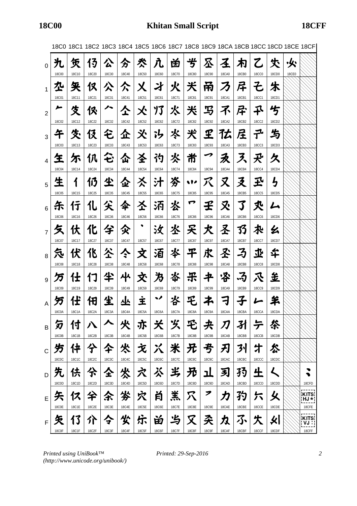|                |              |              | 18C0 18C1 18C2 18C3 18C4 18C5 18C6 18C7 18C8 18C9 18CA 18CB 18CC 18CD 18CE 18CF |              |              |              |              |              |              |                      |              |              |                    |              |       |                      |
|----------------|--------------|--------------|---------------------------------------------------------------------------------|--------------|--------------|--------------|--------------|--------------|--------------|----------------------|--------------|--------------|--------------------|--------------|-------|----------------------|
| 0              |              | 赁            | 13                                                                              | 公            | 分            | 氼            | 九            | 畄            | 岁            | 公                    | 圣            | 朩            | 乙                  | 仧            | ·处    |                      |
|                | <b>18C00</b> | 18C10        | 18C20                                                                           | 18C30        | 18C40        | <b>18C50</b> | 18C60        | 18C70        | <b>18C80</b> | 18C90                | <b>18CA0</b> | 18CB0        | <b>18CC0</b>       | 18CD0        | 18CE0 |                      |
| $\mathbf{1}$   | 九            | 矢            | 仅                                                                               | 公            | 仌            | 乂            | 才            | 火            | 关            | 甬                    | ろ            | 厈            | そ                  | 朱            |       |                      |
|                | <b>18C01</b> | 18C11        | 18C21                                                                           | <b>18C31</b> | 18C41        | <b>18C51</b> | 18C61        | 18C71        | <b>18C81</b> | <b>18C91</b>         | 18CA1        | 18CB1        | <b>18CC1</b>       | 18CD1        |       |                      |
| $\overline{2}$ | ∼            | 伎            | 伱                                                                               | ハ            | 仝            | 仌            | 乃            | 氺            | 米            | 写                    | 不            | 尽            | 乑                  | 兮            |       |                      |
|                | 18C02        | 18C12        | 18C22                                                                           | 18C32        | 18C42        | 18C52        | 18C62        | 18C72        | <b>18C82</b> | 18C92                | 18CA2        | 18CB2        | <b>18CC2</b>       | 18CD2        |       |                      |
| 3              | 午            | 夊            | 伇                                                                               | 仑            | 企            | 氼            | ゙゙゙゙゚゙゚゚゚゚゚゙ | 氺            | 犬            | ${\bf \mathfrak{L}}$ | 亿            | 层            | ユ                  | 与            |       |                      |
|                | <b>18C03</b> | 18C13        | 18C23                                                                           | 18C33        | 18C43        | <b>18C53</b> | 18C63        | 18C73        | <b>18C83</b> | <b>18C93</b>         | 18CA3        | 18CB3        | <b>18CC3</b>       | 18CD3        |       |                      |
| 4              | 玍            | 尓            | 仈                                                                               | ゼ            | 仚            | 圣            | 礿            | 氺            | 黹            | ↗                    | 永            | 入            | 夬                  | 久            |       |                      |
|                | <b>18C04</b> | 18C14        | 18C24                                                                           | 18C34        | 18C44        | <b>18C54</b> | <b>18C64</b> | 18C74        | <b>18C84</b> | <b>18C94</b>         | 18CA4        | 18CB4        | <b>18CC4</b>       | 18CD4        |       |                      |
| 5              | 生            | 1            | 仍                                                                               | 尘            | 企            | 亽            | 汁            | 岑            | s Pe         | <b>K</b>             | 又            | 爻            | 玊                  | <b>与</b>     |       |                      |
|                | <b>18C05</b> | 18C15        | <b>18C25</b>                                                                    | 18C35        | 18C45        | <b>18C55</b> | 18C65        | 18C75        | <b>18C85</b> | <b>18C95</b>         | 18CA5        | 18CB5        | <b>18CC5</b>       | <b>18CD5</b> |       |                      |
| 6              | 乐            | 行            | 化                                                                               | 尖            | 伞            | 圣            | 沰            | 氺            | ┍            | 壬                    | 又            | 了            | 氼                  | ム            |       |                      |
|                | <b>18C06</b> | 18C16        | 18C26                                                                           | 18C36        | 18C46        | <b>18C56</b> | <b>18C66</b> | 18C76        | <b>18C86</b> | 18C96                | 18CA6        | 18CB6        | <b>18CC6</b>       | 18CD6        |       |                      |
| $\overline{7}$ | 夂            | 伏            | 化                                                                               | 兮            | 父            |              | 汝            | 氺            | 夭            | 犬                    | 圣            | 33           | 术                  | 幺            |       |                      |
|                | 18C07        | 18C17        | 18C27                                                                           | 18C37        | 18C47        | <b>18C57</b> | 18C67        | 18C77        | <b>18C87</b> | <b>18C97</b>         | 18CA7        | 18CB7        | 18CC7              | 18CD7        |       |                      |
| 8              | 気            | 伏            | 化                                                                               | 公            | ぐ            | 文            | 洦            | 氺            | 平            | 求                    | 圣            | 孑            | 丠                  | 华            |       |                      |
|                | <b>18C08</b> | 18C18        | <b>18C28</b>                                                                    | <b>18C38</b> | <b>18C48</b> | <b>18C58</b> | <b>18C68</b> | <b>18C78</b> | <b>18C88</b> | <b>18C98</b>         | <b>18CA8</b> | <b>18CB8</b> | <b>18CC8</b>       | <b>18CD8</b> |       |                      |
| 9              | 万            | 仕            | 17                                                                              | 半            | 屮            | 交            | 为            | 岺            | 乐            | 书                    | '洛           | .3           | 灭                  | 主            |       |                      |
|                | <b>18C09</b> | 18C19        | 18C29                                                                           | 18C39        | 18C49        | <b>18C59</b> | 18C69        | 18C79        | <b>18C89</b> | <b>18C99</b>         | 18CA9        | 18CB9        | <b>18CC9</b>       | 18CD9        |       |                      |
|                | 万            | 任            | 汨                                                                               | 尘            | 丛            | İ            | ∙            | 峇            | F,           | 本                    | 刁            |              |                    | 羊            |       |                      |
|                | 18C0A        | 18C1A        | 18C2A                                                                           | 18C3A        | 18C4A        | 18C5A        | 18C6A        | 18C7A        | 18C8A        | 18C9A                | 18CAA        | 18CBA        | 18CCA              | 18CDA        |       |                      |
| В              | 匇            | 付            |                                                                                 |              | 火            | 亦            | 关            | 岁、           | 毛            | 夬                    | 刀            |              | テ                  | 笭            |       |                      |
|                | 18C0B        | 18C1B        | 18C2B                                                                           | 18C3B        | 18C4B        | 18C5B        | 18C6B        | 18C7B        | 18C8B        | 18C9B                | 18CAB        | 18CBB        | 18CCB              | 18CDB        |       |                      |
| C              |              | 件            | 仐                                                                               | 仐            | 火            | 文            | Χ            | 米            | 兄            | 亐                    | 刃            | 31           |                    | 怂            |       |                      |
|                | <b>18C0C</b> | 18C1C        | 18C2C                                                                           | 18C3C        | 18C4C        | 18C5C        | 18C6C        | 18C7C        | <b>18C8C</b> | 18C9C                | 18CAC        | 18CBC        | 18CCC              | 18CDC        |       |                      |
| D              |              | 伕            | 佘                                                                               | 仝            |              |              | 杀            | 屴            | 旡            | ı                    | 习            | 35           | といれる しょうしょう しょうしょう |              |       |                      |
|                | 18C0D        | 18C1D        | 18C2D                                                                           | 18C3D        | 18C4D        | 18C5D        | 18C6D        | 18C7D        | 18C8D        | 18C9D                | 18CAD        | 18CBD        | 18CCD              | 18CDD        |       | 18CFD                |
| E              | 矢            | 12           | 仐                                                                               | 余            | 劣            | 穴            | 肖            | 羔            | 穴            | 7                    | 力            | 犳            |                    | 乆            |       | <b>KITS</b><br>¦HJ∗¦ |
|                | <b>18C0E</b> | 18C1E        | 18C2E                                                                           | 18C3E        | 18C4E        | 18C5E        | 18C6E        | 18C7E        | 18C8E        | 18C9E                | 18CAE        | 18CBE        | 18CCE              | 18CDE        |       | 18CFE                |
| F              |              | 13           | 介                                                                               | 今            | 尖            | 乐            | 畄            | 屶            | $\mathbf X$  | 朶                    | 力            | ふ            |                    | 火∣           |       | <b>KITS</b><br>VJ :  |
|                | <b>18C0F</b> | <b>18C1F</b> | 18C2F                                                                           | 18C3F        | 18C4F        | 18C5F        | 18C6F        | <b>18C7F</b> | <b>18C8F</b> | 18C9F                | 18CAF        | 18CBF        | 18CCF              | 18CDF        |       | 18CFF                |

18C0 18C1 18C2 18C3 18C4 18C5 18C6 18C7 18C8 18C9 18CA 18CB 18CC 18CD 18CE 18CF

*Printed using UniBook™ (http://www.unicode.org/unibook/)*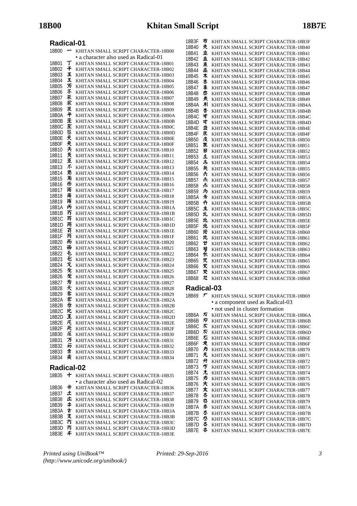| Radical-01     |         |                                                                            |
|----------------|---------|----------------------------------------------------------------------------|
| 18B00          |         | KHITAN SMALL SCRIPT CHARACTER-18B00                                        |
|                |         | • a character also used as Radical-01                                      |
| 18B01<br>18B02 | Т<br>千  | KHITAN SMALL SCRIPT CHARACTER-18B01<br>KHITAN SMALL SCRIPT CHARACTER-18B02 |
| 18B03          | 王       | KHITAN SMALL SCRIPT CHARACTER-18B03                                        |
| 18B04          | 王       | KHITAN SMALL SCRIPT CHARACTER-18B04                                        |
| 18B05          | 万       | KHITAN SMALL SCRIPT CHARACTER-18B05                                        |
| 18B06<br>18B07 | 不<br>乑  | KHITAN SMALL SCRIPT CHARACTER-18B06                                        |
| 18B08          | 乑       | KHITAN SMALL SCRIPT CHARACTER-18B07<br>KHITAN SMALL SCRIPT CHARACTER-18B08 |
| 18B09          | 乑       | KHITAN SMALL SCRIPT CHARACTER-18B09                                        |
| 18B0A          | 平       | KHITAN SMALL SCRIPT CHARACTER-18B0A                                        |
| 18B0B          | 巫<br>坖  | KHITAN SMALL SCRIPT CHARACTER-18B0B                                        |
| 18B0C<br>18B0D | 狉       | KHITAN SMALL SCRIPT CHARACTER-18B0C<br>KHITAN SMALL SCRIPT CHARACTER-18B0D |
| 18B0E          | 天       | KHITAN SMALL SCRIPT CHARACTER-18B0E                                        |
| 18B0F          | 夹       | KHITAN SMALL SCRIPT CHARACTER-18B0F                                        |
| 18B10          | 兲       | KHITAN SMALL SCRIPT CHARACTER-18B10                                        |
| 18B11<br>18B12 | 灵<br>重  | KHITAN SMALL SCRIPT CHARACTER-18B11<br>KHITAN SMALL SCRIPT CHARACTER-18B12 |
| 18B13          | 不       | KHITAN SMALL SCRIPT CHARACTER-18B13                                        |
| 18B14          | 羽       | KHITAN SMALL SCRIPT CHARACTER-18B14                                        |
| 18B15          | 耓       | KHITAN SMALL SCRIPT CHARACTER-18B15                                        |
| 18B16          | 帀       | KHITAN SMALL SCRIPT CHARACTER-18B16                                        |
| 18B17<br>18B18 | 雨<br>甫  | KHITAN SMALL SCRIPT CHARACTER-18B17<br>KHITAN SMALL SCRIPT CHARACTER-18B18 |
| 18B19          | 雨       | KHITAN SMALL SCRIPT CHARACTER-18B19                                        |
| 18B1A          | 丙       | KHITAN SMALL SCRIPT CHARACTER-18B1A                                        |
| 18B1B          | 冇       | KHITAN SMALL SCRIPT CHARACTER-18B1B                                        |
| 18B1C<br>18B1D | 丙<br>甬  | KHITAN SMALL SCRIPT CHARACTER-18B1C<br>KHITAN SMALL SCRIPT CHARACTER-18B1D |
| 18B1E          | 有       | KHITAN SMALL SCRIPT CHARACTER-18B1E                                        |
| 18B1F          | 芮       | KHITAN SMALL SCRIPT CHARACTER-18B1F                                        |
| 18B20          | 而       | KHITAN SMALL SCRIPT CHARACTER-18B20                                        |
| 18B21<br>18B22 | 面<br>モ  | KHITAN SMALL SCRIPT CHARACTER-18B21<br>KHITAN SMALL SCRIPT CHARACTER-18B22 |
| 18B23          | Ð       | KHITAN SMALL SCRIPT CHARACTER-18B23                                        |
| 18B24          | 灭       | KHITAN SMALL SCRIPT CHARACTER-18B24                                        |
| 18B25          | 无       | KHITAN SMALL SCRIPT CHARACTER-18B25                                        |
| 18B26          | 无<br>亏  | KHITAN SMALL SCRIPT CHARACTER-18B26                                        |
| 18B27<br>18B28 | 夭       | KHITAN SMALL SCRIPT CHARACTER-18B27<br>KHITAN SMALL SCRIPT CHARACTER-18B28 |
| 18B29          | 沗       | KHITAN SMALL SCRIPT CHARACTER-18B29                                        |
| 18B2A          | 术       | KHITAN SMALL SCRIPT CHARACTER-18B2A                                        |
| 18B2B          | 赤       | KHITAN SMALL SCRIPT CHARACTER-18B2B                                        |
| 18B2C<br>18B2D | 玭<br>Ξ  | KHITAN SMALL SCRIPT CHARACTER-18B2C<br>KHITAN SMALL SCRIPT CHARACTER-18B2D |
| 18B2E          | 圧       | KHITAN SMALL SCRIPT CHARACTER-18B2E                                        |
| 18B2F          | 旡       | KHITAN SMALL SCRIPT CHARACTER-18B2F                                        |
| 18B30          | 圧       | KHITAN SMALL SCRIPT CHARACTER-18B30                                        |
| 18B31<br>18B32 | 万<br>刃  | KHITAN SMALL SCRIPT CHARACTER-18B31<br>KHITAN SMALL SCRIPT CHARACTER-18B32 |
| 18B33          | 隶       | KHITAN SMALL SCRIPT CHARACTER-18B33                                        |
| 18B34          | 卖       | KHITAN SMALL SCRIPT CHARACTER-18B34                                        |
| Radical-02     |         |                                                                            |
| 18B35          | +       | KHITAN SMALL SCRIPT CHARACTER-18B35                                        |
|                |         | • a character also used as Radical-02                                      |
| 18B36          | ₭       | KHITAN SMALL SCRIPT CHARACTER-18B36                                        |
| 18B37          | 土       | KHITAN SMALL SCRIPT CHARACTER-18B37                                        |
| 18B38<br>18B39 | 圡<br>\$ | KHITAN SMALL SCRIPT CHARACTER-18B38<br>KHITAN SMALL SCRIPT CHARACTER-18B39 |
| 18B3A          | ᇂ       | KHITAN SMALL SCRIPT CHARACTER-18B3A                                        |
| 18B3B          | 支       | KHITAN SMALL SCRIPT CHARACTER-18B3B                                        |
| 18B3C          | 冇       | KHITAN SMALL SCRIPT CHARACTER-18B3C                                        |
| 18B3D<br>18B3F | 冇<br>≠  | KHITAN SMALL SCRIPT CHARACTER-18B3D<br>KHITAN SMALL SCRIPT CHARACTER-18B3E |

18B45 木 KHITAN SMALL SCRIPT CHARACTER-18B45 18B46 本 KHITAN SMALL SCRIPT CHARACTER-18B46<br>18B47 本 KHITAN SMALL SCRIPT CHARACTER-18B47 18B47 KHITAN SMALL SCRIPT CHARACTER-18B47 KHITAN SMALL SCRIPT CHARACTER-18B48 18B49 <br /> **KHITAN SMALL SCRIPT CHARACTER-18B49** 18B4A KHITAN SMALL SCRIPT CHARACTER-18B4A 18B4B 杏 KHITAN SMALL SCRIPT CHARACTER-18B4B<br>18B4C す KHITAN SMALL SCRIPT CHARACTER-18B4C 18B4C बी KHITAN SMALL SCRIPT CHARACTER-18B4C<br>18B4D बी KHITAN SMALL SCRIPT CHARACTER-18B4D 18B4D KHITAN SMALL SCRIPT CHARACTER-18B4D 18B4E  $\mathbf{\dot{\Xi}}$  KHITAN SMALL SCRIPT CHARACTER-18B4E 18B4F **床** KHITAN SMALL SCRIPT CHARACTER-18B4F 18B50 **皮** KHITAN SMALL SCRIPT CHARACTER-18B50<br>18B51 **求** KHITAN SMALL SCRIPT CHARACTER-18B51 18B51 **JR** KHITAN SMALL SCRIPT CHARACTER-18B51<br>18B52 KHITAN SMALL SCRIPT CHARACTER-18B52 KHITAN SMALL SCRIPT CHARACTER-18B52 18B53 **±** KHITAN SMALL SCRIPT CHARACTER-18B53<br>18B54 **±** KHITAN SMALL SCRIPT CHARACTER-18B54 18B54 KHITAN SMALL SCRIPT CHARACTER-18B54 KHITAN SMALL SCRIPT CHARACTER-18B55 18B56 夫 KHITAN SMALL SCRIPT CHARACTER-18B56<br>18B57 去 KHITAN SMALL SCRIPT CHARACTER-18B57  $\frac{1}{25}$  KHITAN SMALL SCRIPT CHARACTER-18B57 18B58  $\frac{1}{25}$  KHITAN SMALL SCRIPT CHARACTER-18B58 18B59 <mark>为 KHITAN SMALL SCRIPT CHARACTER-18B59</mark><br>18B5A **方 KHITAN SMALL SCRIPT CHARACTER-18B5A** KHITAN SMALL SCRIPT CHARACTER-18B5A 18B5B **件** KHITAN SMALL SCRIPT CHARACTER-18B5B<br>18B5C **主** KHITAN SMALL SCRIPT CHARACTER-18B5C KHITAN SMALL SCRIPT CHARACTER-18B5C 18B5D  $\sharp L$  KHITAN SMALL SCRIPT CHARACTER-18B5D 18B5E **th** KHITAN SMALL SCRIPT CHARACTER-18B5E 18B5F 地 KHITAN SMALL SCRIPT CHARACTER-18B5F 18B60 **\\** KHITAN SMALL SCRIPT CHARACTER-18B60 18B61 **H** KHITAN SMALL SCRIPT CHARACTER-18B61 18B62 **U** KHITAN SMALL SCRIPT CHARACTER-18B62 18B63 节 KHITAN SMALL SCRIPT CHARACTER-18B63<br>18B64 节 KHITAN SMALL SCRIPT CHARACTER-18B64  $#$  KHITAN SMALL SCRIPT CHARACTER-18B64 18B65 艾 KHITAN SMALL SCRIPT CHARACTER-18B65<br>18B66 艾 KHITAN SMALL SCRIPT CHARACTER-18B66 KHITAN SMALL SCRIPT CHARACTER-18B66 18B67 英 KHITAN SMALL SCRIPT CHARACTER-18B67 18B68  $\textstyle{\rm \texttt{\^{1}}}$  KHITAN SMALL SCRIPT CHARACTER-18B68 **Radical-03** 18B69  $\tau$  KHITAN SMALL SCRIPT CHARACTER-18B69 • a component used as Radical-03 • not used in cluster formation 18B6A A KHITAN SMALL SCRIPT CHARACTER-18B6A<br>18B6B A KHITAN SMALL SCRIPT CHARACTER-18B6B 18B6B **存** KHITAN SMALL SCRIPT CHARACTER-18B6B<br>18B6C **女** KHITAN SMALL SCRIPT CHARACTER-18B6C 18B6C **东** KHITAN SMALL SCRIPT CHARACTER-18B6C<br>18B6D 东 KHITAN SMALL SCRIPT CHARACTER-18B6D 18B6D KHITAN SMALL SCRIPT CHARACTER-18B6D  $t$  KHITAN SMALL SCRIPT CHARACTER-18B6E<br>
ネ KHITAN SMALL SCRIPT CHARACTER-18B6F 18B6F **た** KHITAN SMALL SCRIPT CHARACTER-18B6F<br>18B70 **方** KHITAN SMALL SCRIPT CHARACTER-18B70 18B70 **方** KHITAN SMALL SCRIPT CHARACTER-18B70<br>18B71 **亢** KHITAN SMALL SCRIPT CHARACTER-18B71

18B3F 市 KHITAN SMALL SCRIPT CHARACTER-18B3F<br>18B40 夷 KHITAN SMALL SCRIPT CHARACTER-18B40 18B40 **夫 KHITAN SMALL SCRIPT CHARACTER-18B40**<br>18B41 **ホ** KHITAN SMALL SCRIPT CHARACTER-18B41

18B42  $\pm$  KHITAN SMALL SCRIPT CHARACTER-18B42 18B43 **車** KHITAN SMALL SCRIPT CHARACTER-18B43 18B44  **本** KHITAN SMALL SCRIPT CHARACTER-18B44

18B41 KHITAN SMALL SCRIPT CHARACTER-18B41

18B71 **无** KHITAN SMALL SCRIPT CHARACTER-18B71<br>18B72 **廾** KHITAN SMALL SCRIPT CHARACTER-18B72 **# KHITAN SMALL SCRIPT CHARACTER-18B72**<br>\* KHITAN SMALL SCRIPT CHARACTER 18B73 18B73 **芍** KHITAN SMALL SCRIPT CHARACTER-18B73 18B74 九 KHITAN SMALL SCRIPT CHARACTER-18B74 18B75 方 KHITAN SMALL SCRIPT CHARACTER-18B75<br>18B76 大 KHITAN SMALL SCRIPT CHARACTER-18B76 18B76 大 KHITAN SMALL SCRIPT CHARACTER-18B76<br>18B77 太 KHITAN SMALL SCRIPT CHARACTER-18B77<br>18B78 � KHITAN SMALL SCRIPT CHARACTER-18B78 KHITAN SMALL SCRIPT CHARACTER-18B77 **秦** KHITAN SMALL SCRIPT CHARACTER-18B78<br>✿ KHITAN SMALL SCRIPT CHARACTER-18B79 18B79 **芬** KHITAN SMALL SCRIPT CHARACTER-18B79<br>18B7A <del>杏</del> KHITAN SMALL SCRIPT CHARACTER-18B7A 18B7A – 夯 – KHITAN SMALL SCRIPT CHARACTER-18B7A<br>18B7B – 本 – KHITAN SMALL SCRIPT CHARACTER-18B7B <u>本</u> KHITAN SMALL SCRIPT CHARACTER-18B7B<br>な KHITAN SMALL SCRIPT CHARACTER-18B7C 18B7C **参** KHITAN SMALL SCRIPT CHARACTER-18B7C 18B7D 春 KHITAN SMALL SCRIPT CHARACTER-18B7D 18B7E 春 KHITAN SMALL SCRIPT CHARACTER-18B7E

*Printed using UniBook™ (http://www.unicode.org/unibook/)*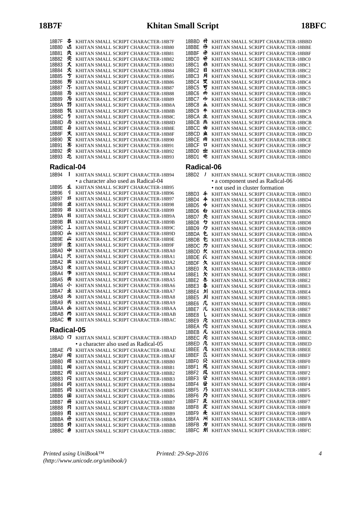| 18B7F      | 夲   | KHITAN SMALL SCRIPT CHARACTER-18B7F   |
|------------|-----|---------------------------------------|
| 18B80      | 达   | KHITAN SMALL SCRIPT CHARACTER-18B80   |
| 18B81      | 大   | KHITAN SMALL SCRIPT CHARACTER-18B81   |
| 18B82      | 夾   | KHITAN SMALL SCRIPT CHARACTER-18B82   |
| 18B83      | 丈   | KHITAN SMALL SCRIPT CHARACTER-18B83   |
| 18B84      | 夾   | KHITAN SMALL SCRIPT CHARACTER-18B84   |
| 18B85      | 亐   | KHITAN SMALL SCRIPT CHARACTER-18B85   |
| 18B86      | 艻   | KHITAN SMALL SCRIPT CHARACTER-18B86   |
|            | 朩.  | KHITAN SMALL SCRIPT CHARACTER-18B87   |
| 18B87      | 与   |                                       |
| 18B88      | 为   | KHITAN SMALL SCRIPT CHARACTER-18B88   |
| 18B89      | 芀   | KHITAN SMALL SCRIPT CHARACTER-18B89   |
| 18B8A      | 圦   | KHITAN SMALL SCRIPT CHARACTER-18B8A   |
| 18B8B      | 5   | KHITAN SMALL SCRIPT CHARACTER-18B8B   |
| 18B8C      | 5   | KHITAN SMALL SCRIPT CHARACTER-18B8C   |
| 18B8D      |     | KHITAN SMALL SCRIPT CHARACTER-18B8D   |
| 18B8E      | 45  | KHITAN SMALL SCRIPT CHARACTER-18B8E   |
| 18B8F      | 炗   | KHITAN SMALL SCRIPT CHARACTER-18B8F   |
| 18B90      | 女   | KHITAN SMALL SCRIPT CHARACTER-18B90   |
| 18B91      | 紊   | KHITAN SMALL SCRIPT CHARACTER-18B91   |
| 18B92      | 夾   | KHITAN SMALL SCRIPT CHARACTER-18B92   |
| 18B93      | 屯   | KHITAN SMALL SCRIPT CHARACTER-18B93   |
| Radical-04 |     |                                       |
|            |     |                                       |
| 18B94      | J   | KHITAN SMALL SCRIPT CHARACTER-18B94   |
|            |     | • a character also used as Radical-04 |
| 18B95      | T   | KHITAN SMALL SCRIPT CHARACTER-18B95   |
| 18B96      | ıJ. | KHITAN SMALL SCRIPT CHARACTER-18B96   |
| 18B97      | 非   | KHITAN SMALL SCRIPT CHARACTER-18B97   |
| 18B98      | 下   | KHITAN SMALL SCRIPT CHARACTER-18B98   |
| 18B99      | 非   | KHITAN SMALL SCRIPT CHARACTER-18B99   |
| 18B9A      | 非   | KHITAN SMALL SCRIPT CHARACTER-18B9A   |
| 18B9B      | 叔   | KHITAN SMALL SCRIPT CHARACTER-18B9B   |
| 18B9C      | T   | KHITAN SMALL SCRIPT CHARACTER-18B9C   |
| 18B9D      | 山   | KHITAN SMALL SCRIPT CHARACTER-18B9D   |
| 18B9E      | 山   | KHITAN SMALL SCRIPT CHARACTER-18B9E   |
| 18B9F      | 上   | KHITAN SMALL SCRIPT CHARACTER-18B9F   |
| 18BA0      | 41  | KHITAN SMALL SCRIPT CHARACTER-18BA0   |
| 18BA1      | 只   | KHITAN SMALL SCRIPT CHARACTER-18BA1   |
| 18BA2      | 出   | KHITAN SMALL SCRIPT CHARACTER-18BA2   |
| 18BA3      | 浓   | KHITAN SMALL SCRIPT CHARACTER-18BA3   |
| 18BA4      | 芩   | KHITAN SMALL SCRIPT CHARACTER-18BA4   |
| 18BA5      | 类   | KHITAN SMALL SCRIPT CHARACTER-18BA5   |
| 18BA6      | 小   | KHITAN SMALL SCRIPT CHARACTER-18BA6   |
| 18BA7      | 业   | KHITAN SMALL SCRIPT CHARACTER-18BA7   |
| 18BA8      | 氺   | KHITAN SMALL SCRIPT CHARACTER-18BA8   |
| 18BA9      | 米   | KHITAN SMALL SCRIPT CHARACTER-18BA9   |
| 18BAA      | 山   | KHITAN SMALL SCRIPT CHARACTER-18BAA   |
| 18BAB      | 尚   | KHITAN SMALL SCRIPT CHARACTER-18BAB   |
| 18BAC      | 籿   | KHITAN SMALL SCRIPT CHARACTER-18BAC   |
|            |     |                                       |
| Radical-05 |     |                                       |
| 18BAD ロ    |     | KHITAN SMALL SCRIPT CHARACTER-18BAD   |
|            |     | • a character also used as Radical-05 |
| 18BAE      | 冈   | KHITAN SMALL SCRIPT CHARACTER-18BAE   |
| 18BAF      | 用   | KHITAN SMALL SCRIPT CHARACTER-18BAF   |
| 18BB0      | 闱   | KHITAN SMALL SCRIPT CHARACTER-18BB0   |
| 18BB1      | 闲   | KHITAN SMALL SCRIPT CHARACTER-18BB1   |
| 18BB2      | 闶   | KHITAN SMALL SCRIPT CHARACTER-18BB2   |
| 18BB3      | 冈   | KHITAN SMALL SCRIPT CHARACTER-18BB3   |
| 18BB4      | 冈   | KHITAN SMALL SCRIPT CHARACTER-18BB4   |
| 18BB5      | 冈   | KHITAN SMALL SCRIPT CHARACTER-18BB5   |
| 18BB6      | 固   | KHITAN SMALL SCRIPT CHARACTER-18BB6   |
| 18BB7      | 冊   | KHITAN SMALL SCRIPT CHARACTER-18BB7   |
| 18BB8      | A   | KHITAN SMALL SCRIPT CHARACTER-18BB8   |
| 18BB9      | 冃   | KHITAN SMALL SCRIPT CHARACTER-18BB9   |
| 18BBA      | A   | KHITAN SMALL SCRIPT CHARACTER-18BBA   |
| 18BBB      | 月   | KHITAN SMALL SCRIPT CHARACTER-18BBB   |
| 18BBC      | #   | KHITAN SMALL SCRIPT CHARACTER-18BBC   |

| 18BBD  | 큐                        | KHITAN SMALL SCRIPT CHARACTER-18BBD |
|--------|--------------------------|-------------------------------------|
| 18BBF  | A                        | KHITAN SMALL SCRIPT CHARACTER-18BBE |
| 18BBF  | ff                       | KHITAN SMALL SCRIPT CHARACTER-18BBF |
| 18BC0  | 丹                        | KHITAN SMALL SCRIPT CHARACTER-18BC0 |
| 18BC1  | 赤                        | KHITAN SMALL SCRIPT CHARACTER-18BC1 |
| 18BC2  | 目                        | KHITAN SMALL SCRIPT CHARACTER-18BC2 |
| 18BC3  | 月                        | KHITAN SMALL SCRIPT CHARACTER-18BC3 |
| 18BC4  | 叓                        | KHITAN SMALL SCRIPT CHARACTER-18BC4 |
| 18BC.5 | 罗                        | KHITAN SMALL SCRIPT CHARACTER-18BC5 |
| 18BC6  | ۳щ                       | KHITAN SMALL SCRIPT CHARACTER-18BC6 |
| 18BC.7 | 巾                        | KHITAN SMALL SCRIPT CHARACTER-18BC7 |
| 18BC8  | ᠇                        | KHITAN SMALL SCRIPT CHARACTER-18BC8 |
| 18BC9  | $\overline{\phantom{a}}$ | KHITAN SMALL SCRIPT CHARACTER-18BC9 |
| 18BCA  | 虫                        | KHITAN SMALL SCRIPT CHARACTER-18BCA |
| 18BCB  | 典                        | KHITAN SMALL SCRIPT CHARACTER-18BCB |
| 18BCC  | 由                        | KHITAN SMALL SCRIPT CHARACTER-18BCC |
| 18BCD  | 虫                        | KHITAN SMALL SCRIPT CHARACTER-18BCD |
| 18BCF  | 内                        | KHITAN SMALL SCRIPT CHARACTER-18BCE |
| 18BCF  | ч                        | KHITAN SMALL SCRIPT CHARACTER-18BCF |
| 18BD0  | ᄈ                        | KHITAN SMALL SCRIPT CHARACTER-18BD0 |
| 18BD1  | ¢.                       | KHITAN SMALL SCRIPT CHARACTER-18BD1 |

#### **Radical-06**

| 18BD2          | J      | KHITAN SMALL SCRIPT CHARACTER-18BD2                                        |
|----------------|--------|----------------------------------------------------------------------------|
|                |        | • a component used as Radical-06                                           |
|                |        | • not used in cluster formation                                            |
| 18BD3          | 千      | KHITAN SMALL SCRIPT CHARACTER-18BD3                                        |
| 18BD4          | 4      | KHITAN SMALL SCRIPT CHARACTER-18BD4                                        |
| 18BD5          | 4      | KHITAN SMALL SCRIPT CHARACTER-18BD5                                        |
| 18BD6          | 白      | KHITAN SMALL SCRIPT CHARACTER-18BD6                                        |
| 18BD7          | 秂      | KHITAN SMALL SCRIPT CHARACTER-18BD7                                        |
| 18BD8          | 々      | KHITAN SMALL SCRIPT CHARACTER-18BD8                                        |
| 18BD9          | 夕      | KHITAN SMALL SCRIPT CHARACTER-18BD9                                        |
| 18BDA          | 包      | KHITAN SMALL SCRIPT CHARACTER-18BDA                                        |
| 18BDB          | 包      | KHITAN SMALL SCRIPT CHARACTER-18BDB                                        |
| 18BDC          | ヵ      | KHITAN SMALL SCRIPT CHARACTER-18BDC                                        |
| 18BDD          | 欠      | KHITAN SMALL SCRIPT CHARACTER-18BDD                                        |
| 18BDE          | Ŕ      | KHITAN SMALL SCRIPT CHARACTER-18BDE                                        |
| 18BDF          | 久      | KHITAN SMALL SCRIPT CHARACTER-18BDF                                        |
| 18BE0          | 夂      | KHITAN SMALL SCRIPT CHARACTER-18BE0                                        |
| 18BE1          | 欠      | KHITAN SMALL SCRIPT CHARACTER-18BE1                                        |
| 18BE2          | 冬      | KHITAN SMALL SCRIPT CHARACTER-18BE2                                        |
| 18BE3          | 各      | KHITAN SMALL SCRIPT CHARACTER-18BE3                                        |
| 18BE4          | 쇠      | KHITAN SMALL SCRIPT CHARACTER-18BE4                                        |
| 18BE5          | 치      | KHITAN SMALL SCRIPT CHARACTER-18BE5                                        |
| 18BE6          | 几      | KHITAN SMALL SCRIPT CHARACTER-18BE6                                        |
| 18BE7          | 儿<br>ι | KHITAN SMALL SCRIPT CHARACTER-18BE7                                        |
| 18BE8          | 凡      | KHITAN SMALL SCRIPT CHARACTER-18BE8                                        |
| 18BE9          |        | KHITAN SMALL SCRIPT CHARACTER-18BE9                                        |
| 18BEA          | 夗<br>凡 | KHITAN SMALL SCRIPT CHARACTER-18BEA                                        |
| 18BEB<br>18BEC | 凡      | KHITAN SMALL SCRIPT CHARACTER-18BEB<br>KHITAN SMALL SCRIPT CHARACTER-18BEC |
| 18BED          | 几      | KHITAN SMALL SCRIPT CHARACTER-18BED                                        |
| 18BEE          | 几      | KHITAN SMALL SCRIPT CHARACTER-18BEE                                        |
| 18BEF          | π      | KHITAN SMALL SCRIPT CHARACTER-18BEF                                        |
| 18BF0          | 尕      | KHITAN SMALL SCRIPT CHARACTER-18BF0                                        |
| 18BF1          | 凧      | KHITAN SMALL SCRIPT CHARACTER-18BF1                                        |
| 18BF2          | 凤      | KHITAN SMALL SCRIPT CHARACTER-18BF2                                        |
| 18BF3          | 屋      | KHITAN SMALL SCRIPT CHARACTER-18BF3                                        |
| 18BF4          | 昼      | KHITAN SMALL SCRIPT CHARACTER-18BF4                                        |
| 18BF5          | 乃      | KHITAN SMALL SCRIPT CHARACTER-18BF5                                        |
| 18BF6          | 乃      | KHITAN SMALL SCRIPT CHARACTER-18BF6                                        |
| 18BF7          | 及      | KHITAN SMALL SCRIPT CHARACTER-18BF7                                        |
| 18BF8          | 及      | KHITAN SMALL SCRIPT CHARACTER-18BF8                                        |
| 18BF9          | 疫      | KHITAN SMALL SCRIPT CHARACTER-18BF9                                        |
| 18BFA          | ж      | KHITAN SMALL SCRIPT CHARACTER-18BFA                                        |
| 18BFB          | 为      | KHITAN SMALL SCRIPT CHARACTER-18BFB                                        |
| 18BFC          | 灲      | KHITAN SMALL SCRIPT CHARACTER-18BFC                                        |

*Printed using UniBook™ (http://www.unicode.org/unibook/)*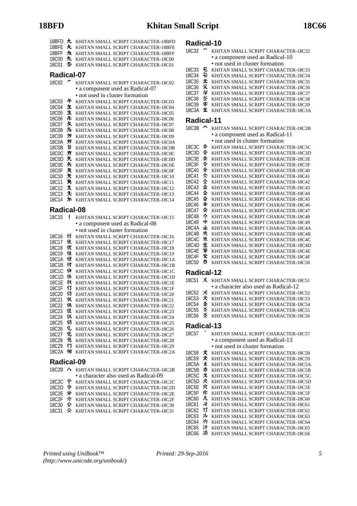| 18BFD<br>18BFE<br>18BFF<br>18C00<br>18C01 | 九<br>丸<br>九<br>九<br>卆 | KHITAN SMALL SCRIPT CHARACTER-18BFD<br>KHITAN SMALL SCRIPT CHARACTER-18BFE<br>KHITAN SMALL SCRIPT CHARACTER-18BFF<br>KHITAN SMALL SCRIPT CHARACTER-18C00<br>KHITAN SMALL SCRIPT CHARACTER-18C01 |
|-------------------------------------------|-----------------------|-------------------------------------------------------------------------------------------------------------------------------------------------------------------------------------------------|
| Radical-07                                |                       |                                                                                                                                                                                                 |
|                                           |                       |                                                                                                                                                                                                 |
| 18C02                                     |                       | KHITAN SMALL SCRIPT CHARACTER-18C02                                                                                                                                                             |
|                                           |                       | • a component used as Radical-07                                                                                                                                                                |
|                                           |                       | • not used in cluster formation                                                                                                                                                                 |
| 18C03                                     | 午                     | KHITAN SMALL SCRIPT CHARACTER-18C03                                                                                                                                                             |
| 18C04<br><b>18C05</b>                     | 玍<br>生                | KHITAN SMALL SCRIPT CHARACTER-18C04<br>KHITAN SMALL SCRIPT CHARACTER-18C05                                                                                                                      |
| 18C06                                     | 乐                     | KHITAN SMALL SCRIPT CHARACTER-18C06                                                                                                                                                             |
| 18C07                                     | 攵                     | KHITAN SMALL SCRIPT CHARACTER-18C07                                                                                                                                                             |
| <b>18C08</b>                              | 兔                     | KHITAN SMALL SCRIPT CHARACTER-18C08                                                                                                                                                             |
| 18C09                                     | 万                     | KHITAN SMALL SCRIPT CHARACTER-18C09                                                                                                                                                             |
| 18C0A                                     | 氕                     | KHITAN SMALL SCRIPT CHARACTER-18C0A                                                                                                                                                             |
| 18C0B                                     | 匇                     | KHITAN SMALL SCRIPT CHARACTER-18C0B                                                                                                                                                             |
| 18C0C                                     | 步                     | KHITAN SMALL SCRIPT CHARACTER-18C0C                                                                                                                                                             |
| 18C0D                                     | 先                     | KHITAN SMALL SCRIPT CHARACTER-18C0D                                                                                                                                                             |
| <b>18C0E</b>                              | 矢                     | KHITAN SMALL SCRIPT CHARACTER-18C0E                                                                                                                                                             |
| <b>18C0F</b>                              | 矢                     | KHITAN SMALL SCRIPT CHARACTER-18C0F                                                                                                                                                             |
| 18C10                                     | 煲                     | KHITAN SMALL SCRIPT CHARACTER-18C10                                                                                                                                                             |
| 18C11                                     | 矢<br>殳                | KHITAN SMALL SCRIPT CHARACTER-18C11                                                                                                                                                             |
| 18C12<br>18C13                            | 夊                     | KHITAN SMALL SCRIPT CHARACTER-18C12<br>KHITAN SMALL SCRIPT CHARACTER-18C13                                                                                                                      |
| 18C14                                     | 尓                     | KHITAN SMALL SCRIPT CHARACTER-18C14                                                                                                                                                             |
|                                           |                       |                                                                                                                                                                                                 |
| Radical-08                                |                       |                                                                                                                                                                                                 |
| 18C15                                     | 1                     | KHITAN SMALL SCRIPT CHARACTER-18C15                                                                                                                                                             |
|                                           |                       | • a component used as Radical-08                                                                                                                                                                |
|                                           |                       | • not used in cluster formation                                                                                                                                                                 |
| 18C16                                     | 行                     | KHITAN SMALL SCRIPT CHARACTER-18C16                                                                                                                                                             |
| 18C17                                     | 伏                     | KHITAN SMALL SCRIPT CHARACTER-18C17                                                                                                                                                             |
| 18C18                                     | 伏                     | KHITAN SMALL SCRIPT CHARACTER-18C18                                                                                                                                                             |
| 18C19                                     | 仕                     | KHITAN SMALL SCRIPT CHARACTER-18C19                                                                                                                                                             |
| 18C1A                                     | 仕                     | KHITAN SMALL SCRIPT CHARACTER-18C1A                                                                                                                                                             |
| 18C1B                                     | 付                     | KHITAN SMALL SCRIPT CHARACTER-18C1B                                                                                                                                                             |
| 18C1C<br>18C1D                            | 仹<br>伕                | KHITAN SMALL SCRIPT CHARACTER-18C1C                                                                                                                                                             |
| 18C1E                                     | 仅                     | KHITAN SMALL SCRIPT CHARACTER-18C1D<br>KHITAN SMALL SCRIPT CHARACTER-18C1E                                                                                                                      |
| 18C1F                                     | 13                    | KHITAN SMALL SCRIPT CHARACTER-18C1F                                                                                                                                                             |
| 18C20                                     | 13                    | KHITAN SMALL SCRIPT CHARACTER-18C20                                                                                                                                                             |
| 18C21                                     | 仅                     | KHITAN SMALL SCRIPT CHARACTER-18C21                                                                                                                                                             |
| 18C22                                     | 伋                     | KHITAN SMALL SCRIPT CHARACTER-18C22                                                                                                                                                             |
| 18C23                                     | 伇                     | KHITAN SMALL SCRIPT CHARACTER-18C23                                                                                                                                                             |
| 18C24                                     | 仉                     | KHITAN SMALL SCRIPT CHARACTER-18C24                                                                                                                                                             |
| 18C25                                     | 仍                     | KHITAN SMALL SCRIPT CHARACTER-18C25                                                                                                                                                             |
| 18C26                                     | 化                     | KHITAN SMALL SCRIPT CHARACTER-18C26                                                                                                                                                             |
| 18C27                                     | 化                     | KHITAN SMALL SCRIPT CHARACTER-18C27                                                                                                                                                             |
| 18C28                                     | 化                     | KHITAN SMALL SCRIPT CHARACTER-18C28                                                                                                                                                             |
| 18C29<br>18C2A                            | 17<br>佃               | KHITAN SMALL SCRIPT CHARACTER-18C29<br>KHITAN SMALL SCRIPT CHARACTER-18C2A                                                                                                                      |
|                                           |                       |                                                                                                                                                                                                 |
| Radical-09                                |                       |                                                                                                                                                                                                 |
|                                           |                       | 18C2B A KHITAN SMALL SCRIPT CHARACTER-18C2B                                                                                                                                                     |
|                                           |                       | · a character also used as Radical-09                                                                                                                                                           |

|  | a viidiavioi anoo aova ao ixaarvar oo                                                                                                    |
|--|------------------------------------------------------------------------------------------------------------------------------------------|
|  | 18C2C 今 KHITAN SMALL SCRIPT CHARACTER-18C2C                                                                                              |
|  | $10000 \, \text{A}$ $\cdots$ $\cdots$ $\cdots$ $\cdots$ $\cdots$ $\cdots$ $\cdots$ $\cdots$ $\cdots$ $\cdots$ $\cdots$ $\cdots$ $\cdots$ |

- 18C2D 令 KHITAN SMALL SCRIPT CHARACTER-18C2D 18C2E 全 KHITAN SMALL SCRIPT CHARACTER-18C2E
- 18C2F  $\hat{\mathcal{N}}$  KHITAN SMALL SCRIPT CHARACTER-18C2F
- 18C30  $\hat{\textbf{A}}$  KHITAN SMALL SCRIPT CHARACTER-18C30
- 18C31  $\,\hat{\times}\,$  KHITAN SMALL SCRIPT CHARACTER-18C31

# **Radical-10**

| 18C32 |    | KHITAN SMALL SCRIPT CHARACTER-18C32 |
|-------|----|-------------------------------------|
|       |    | • a component used as Radical-10    |
|       |    | • not used in cluster formation     |
| 18C33 | £. | KHITAN SMALL SCRIPT CHARACTER-18C33 |
| 18C34 | 仑  | KHITAN SMALL SCRIPT CHARACTER-18C34 |
| 18C35 | 尘  | KHITAN SMALL SCRIPT CHARACTER-18C35 |
| 18C36 | 尖  | KHITAN SMALL SCRIPT CHARACTER-18C36 |
| 18C37 | 全  | KHITAN SMALL SCRIPT CHARACTER-18C37 |
| 18C38 | 亽  | KHITAN SMALL SCRIPT CHARACTER-18C38 |
| 18C39 | 尘  | KHITAN SMALL SCRIPT CHARACTER-18C39 |
|       |    | KHITAN SMALL SCRIPT CHARACTER-18C3A |

### **Radical-11**

| wuundu       |   |                                     |
|--------------|---|-------------------------------------|
| 18C3B        |   | KHITAN SMALL SCRIPT CHARACTER-18C3B |
|              |   | • a component used as Radical-11    |
|              |   | • not used in cluster formation     |
| 18C3C        | 仐 | KHITAN SMALL SCRIPT CHARACTER-18C3C |
| 18C3D        | 全 | KHITAN SMALL SCRIPT CHARACTER-18C3D |
| 18C3E        | 余 | KHITAN SMALL SCRIPT CHARACTER-18C3E |
| 18C3F        | 今 | KHITAN SMALL SCRIPT CHARACTER-18C3F |
| 18C40        | 分 | KHITAN SMALL SCRIPT CHARACTER-18C40 |
| 18C41        | 仌 | KHITAN SMALL SCRIPT CHARACTER-18C41 |
| 18C42        | 소 | KHITAN SMALL SCRIPT CHARACTER-18C42 |
| 18C43        | 쇼 | KHITAN SMALL SCRIPT CHARACTER-18C43 |
| 18C44        | 쇼 | KHITAN SMALL SCRIPT CHARACTER-18C44 |
| 18C45        | 쇼 | KHITAN SMALL SCRIPT CHARACTER-18C45 |
| 18C46        | 伞 | KHITAN SMALL SCRIPT CHARACTER-18C46 |
| 18C47        | 氽 | KHITAN SMALL SCRIPT CHARACTER-18C47 |
| <b>18C48</b> | 仒 | KHITAN SMALL SCRIPT CHARACTER-18C48 |
| 18C49        | 屮 | KHITAN SMALL SCRIPT CHARACTER-18C49 |
| 18C4A        | 业 | KHITAN SMALL SCRIPT CHARACTER-18C4A |
| 18C4B        | 火 | KHITAN SMALL SCRIPT CHARACTER-18C4B |
| 18C4C        | 忩 | KHITAN SMALL SCRIPT CHARACTER-18C4C |
| 18C4D        | 忩 | KHITAN SMALL SCRIPT CHARACTER-18C4D |
| <b>18C4E</b> | 挙 | KHITAN SMALL SCRIPT CHARACTER-18C4E |
| 18C4F        | 尖 | KHITAN SMALL SCRIPT CHARACTER-18C4F |
| <b>18C50</b> | 类 | KHITAN SMALL SCRIPT CHARACTER-18C50 |

## **Radical-12**

| 18C51             | X. | KHITAN SMALL SCRIPT CHARACTER-18C51   |
|-------------------|----|---------------------------------------|
|                   |    | • a character also used as Radical-12 |
| 18 <sub>C52</sub> | 亽  | KHITAN SMALL SCRIPT CHARACTER-18C52   |
| 18C53             | 氺  | KHITAN SMALL SCRIPT CHARACTER-18C53   |
| <b>18C54</b>      | 圣  | KHITAN SMALL SCRIPT CHARACTER-18C54   |
| <b>18C55</b>      | 亽  | KHITAN SMALL SCRIPT CHARACTER-18C55   |
| 18C56             | x  | KHITAN SMALL SCRIPT CHARACTER-18C56   |
| Radical-13        |    |                                       |
| <b>18C57</b>      |    | KHITAN SMALL SCRIPT CHARACTER-18C57   |
|                   |    | • a component used as Radical-13      |
|                   |    | • not used in cluster formation       |
| <b>18C58</b>      | 文  | KHITAN SMALL SCRIPT CHARACTER-18C58   |
| 18C59             | 交  | KHITAN SMALL SCRIPT CHARACTER-18C59   |
| 18C5A             | İ  | KHITAN SMALL SCRIPT CHARACTER-18C5A   |
|                   |    |                                       |

- 18C5B KHITAN SMALL SCRIPT CHARACTER-18C5B 18C5C 戈 KHITAN SMALL SCRIPT CHARACTER-18C5C 18C5D  $\lambda$  KHITAN SMALL SCRIPT CHARACTER-18C5D 18C5E 穴 KHITAN SMALL SCRIPT CHARACTER-18C5E 18C5F  $\text{th}$  KHITAN SMALL SCRIPT CHARACTER-18C5F 18C60  $\hbar$  KHITAN SMALL SCRIPT CHARACTER-18C60 18C61  $\rightarrow$  KHITAN SMALL SCRIPT CHARACTER-18C61 KHITAN SMALL SCRIPT CHARACTER-18C61 18C62 <sup>1</sup> KHITAN SMALL SCRIPT CHARACTER-18C62 18C63 KHITAN SMALL SCRIPT CHARACTER-18C63
- 18C64 3 KHITAN SMALL SCRIPT CHARACTER-18C64
- 18C65 **H** KHITAN SMALL SCRIPT CHARACTER-18C65
- 18C66 KHITAN SMALL SCRIPT CHARACTER-18C66

*Printed using UniBook™ (http://www.unicode.org/unibook/)*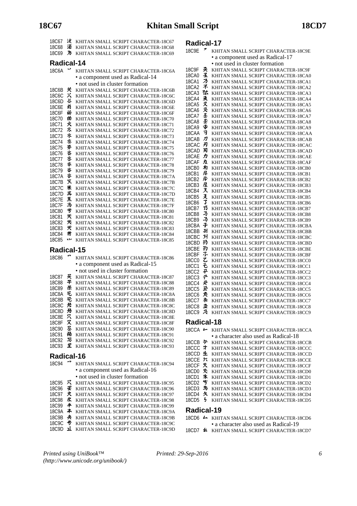| 18C67                 | 汝        | KHITAN SMALL SCRIPT CHARACTER-18C67                                        |
|-----------------------|----------|----------------------------------------------------------------------------|
| 18C68                 | 洦        | KHITAN SMALL SCRIPT CHARACTER-18C68                                        |
| <b>18C69</b>          | 为        | KHITAN SMALL SCRIPT CHARACTER-18C69                                        |
|                       |          |                                                                            |
| Radical-14            |          |                                                                            |
| 18C6A                 |          | KHITAN SMALL SCRIPT CHARACTER-18C6A                                        |
|                       |          | • a component used as Radical-14                                           |
|                       |          | • not used in cluster formation                                            |
| 18C6B                 | 关        | KHITAN SMALL SCRIPT CHARACTER-18C6B                                        |
| 18C6C                 | X        | KHITAN SMALL SCRIPT CHARACTER-18C6C                                        |
| 18C6D                 | 苶        | KHITAN SMALL SCRIPT CHARACTER-18C6D                                        |
| 18C6E                 | 肖        | KHITAN SMALL SCRIPT CHARACTER-18C6E                                        |
| 18C6F                 | 畄        | KHITAN SMALL SCRIPT CHARACTER-18C6F                                        |
| 18C70                 | 曽        | KHITAN SMALL SCRIPT CHARACTER-18C70                                        |
| 18C71                 | 火        | KHITAN SMALL SCRIPT CHARACTER-18C71                                        |
| 18C72                 | 氺        | KHITAN SMALL SCRIPT CHARACTER-18C72                                        |
| 18C73                 | 氺        | KHITAN SMALL SCRIPT CHARACTER-18C73                                        |
| 18C74                 | 氺        | KHITAN SMALL SCRIPT CHARACTER-18C74                                        |
| 18C75                 | 务        | KHITAN SMALL SCRIPT CHARACTER-18C75                                        |
| 18C76                 | 氺        | KHITAN SMALL SCRIPT CHARACTER-18C76                                        |
| 18C77                 | 氺        | KHITAN SMALL SCRIPT CHARACTER-18C77                                        |
| 18C78                 | 氺        | KHITAN SMALL SCRIPT CHARACTER-18C78                                        |
| 18C79                 | 脊        | KHITAN SMALL SCRIPT CHARACTER-18C79                                        |
| 18C7A                 | 呇        | KHITAN SMALL SCRIPT CHARACTER-18C7A                                        |
| 18C7B                 | κ        | KHITAN SMALL SCRIPT CHARACTER-18C7B                                        |
| 18C7C                 | 米        | KHITAN SMALL SCRIPT CHARACTER-18C7C                                        |
| 18C7D                 | 半<br>羔   | KHITAN SMALL SCRIPT CHARACTER-18C7D                                        |
| 18C7E                 | 当        | KHITAN SMALL SCRIPT CHARACTER-18C7E                                        |
| 18C7F<br><b>18C80</b> | ザ        | KHITAN SMALL SCRIPT CHARACTER-18C7F                                        |
| 18C81                 | 米        | KHITAN SMALL SCRIPT CHARACTER-18C80<br>KHITAN SMALL SCRIPT CHARACTER-18C81 |
| <b>18C82</b>          | 米        | KHITAN SMALL SCRIPT CHARACTER-18C82                                        |
| 18C83                 | 犬        | KHITAN SMALL SCRIPT CHARACTER-18C83                                        |
| 18C84                 | 芇        | KHITAN SMALL SCRIPT CHARACTER-18C84                                        |
| <b>18C85</b>          | w        | KHITAN SMALL SCRIPT CHARACTER-18C85                                        |
|                       |          |                                                                            |
|                       |          |                                                                            |
|                       |          |                                                                            |
|                       |          | Radical-15                                                                 |
| <b>18C86</b>          |          | KHITAN SMALL SCRIPT CHARACTER-18C86                                        |
|                       |          | • a component used as Radical-15                                           |
|                       |          | • not used in cluster formation                                            |
| 18C87                 | 天        | KHITAN SMALL SCRIPT CHARACTER-18C87                                        |
| 18C88                 | 平        | KHITAN SMALL SCRIPT CHARACTER-18C88                                        |
| 18C89                 | 乐        | KHITAN SMALL SCRIPT CHARACTER-18C89                                        |
| 18C8A                 | 乇        | KHITAN SMALL SCRIPT CHARACTER-18C8A                                        |
| 18C8B                 | 乇        | KHITAN SMALL SCRIPT CHARACTER-18C8B                                        |
| 18C8C                 | 芁        | KHITAN SMALL SCRIPT CHARACTER-18C8C                                        |
| 18C8D                 | 兄        | KHITAN SMALL SCRIPT CHARACTER-18C8D                                        |
| <b>18C8E</b>          | 穴        | KHITAN SMALL SCRIPT CHARACTER-18C8E                                        |
| <b>18C8F</b>          | 又        | KHITAN SMALL SCRIPT CHARACTER-18C8F                                        |
| 18C90                 | 圣        | KHITAN SMALL SCRIPT CHARACTER-18C90                                        |
| 18C91                 | 甬        | KHITAN SMALL SCRIPT CHARACTER-18C91                                        |
| 18C92                 | 马        | KHITAN SMALL SCRIPT CHARACTER-18C92                                        |
| 18C93                 | £        | KHITAN SMALL SCRIPT CHARACTER-18C93                                        |
| Radical-16            |          |                                                                            |
| <b>18C94</b>          |          | KHITAN SMALL SCRIPT CHARACTER-18C94                                        |
|                       |          |                                                                            |
|                       |          | · a component used as Radical-16                                           |
|                       |          | · not used in cluster formation                                            |
| 18C95                 | 穴        | KHITAN SMALL SCRIPT CHARACTER-18C95                                        |
| 18C96                 | ¥        | KHITAN SMALL SCRIPT CHARACTER-18C96                                        |
| 18C97                 | ऱ<br>求   | KHITAN SMALL SCRIPT CHARACTER-18C97                                        |
| 18C98<br>18C99        | <b>*</b> | KHITAN SMALL SCRIPT CHARACTER-18C98                                        |
| 18C9A                 | ≭        | KHITAN SMALL SCRIPT CHARACTER-18C99<br>KHITAN SMALL SCRIPT CHARACTER-18C9A |
| 18C9B                 | 夬        | KHITAN SMALL SCRIPT CHARACTER-18C9B                                        |

## 18C9D **1** KHITAN SMALL SCRIPT CHARACTER-18C9D

**Radical-17**

| ↗<br>18C9E                             | KHITAN SMALL SCRIPT CHARACTER-18C9E                                        |
|----------------------------------------|----------------------------------------------------------------------------|
|                                        | · a component used as Radical-17                                           |
| 奀<br>18C9F                             | · not used in cluster formation<br>KHITAN SMALL SCRIPT CHARACTER-18C9F     |
| 玉<br><b>18CA0</b>                      | KHITAN SMALL SCRIPT CHARACTER-18CA0                                        |
| ろ<br><b>18CA1</b>                      | KHITAN SMALL SCRIPT CHARACTER-18CA1                                        |
| 不<br>18CA2                             | KHITAN SMALL SCRIPT CHARACTER-18CA2                                        |
| 狜<br>18CA3                             | KHITAN SMALL SCRIPT CHARACTER-18CA3                                        |
| ゑ<br>18CA4                             | KHITAN SMALL SCRIPT CHARACTER-18CA4                                        |
| 又<br>18CA5<br>叉<br><b>18CA6</b>        | KHITAN SMALL SCRIPT CHARACTER-18CA5<br>KHITAN SMALL SCRIPT CHARACTER-18CA6 |
| 圣<br>18CA7                             | KHITAN SMALL SCRIPT CHARACTER-18CA7                                        |
| 圣<br><b>18CA8</b>                      | KHITAN SMALL SCRIPT CHARACTER-18CA8                                        |
| 睿<br>18CA9                             | KHITAN SMALL SCRIPT CHARACTER-18CA9                                        |
| F<br>18CAA                             | KHITAN SMALL SCRIPT CHARACTER-18CAA                                        |
| л<br>18CAB                             | KHITAN SMALL SCRIPT CHARACTER-18CAB                                        |
| 刃<br>18CAC<br>习<br>18CAD               | KHITAN SMALL SCRIPT CHARACTER-18CAC<br>KHITAN SMALL SCRIPT CHARACTER-18CAD |
| カ<br>18CAE                             | KHITAN SMALL SCRIPT CHARACTER-18CAE                                        |
| 力<br>18CAF                             | KHITAN SMALL SCRIPT CHARACTER-18CAF                                        |
| 冇<br>18CB0                             | KHITAN SMALL SCRIPT CHARACTER-18CB0                                        |
| 厈<br>18CB1                             | KHITAN SMALL SCRIPT CHARACTER-18CB1                                        |
| 厈<br>18CB2                             | KHITAN SMALL SCRIPT CHARACTER-18CB2                                        |
| 屋<br>18CB3<br>入<br>18CB4               | KHITAN SMALL SCRIPT CHARACTER-18CB3                                        |
| 叉<br><b>18CB5</b>                      | KHITAN SMALL SCRIPT CHARACTER-18CB4<br>KHITAN SMALL SCRIPT CHARACTER-18CB5 |
| J<br>18CB6                             | KHITAN SMALL SCRIPT CHARACTER-18CB6                                        |
| 33<br>18CB7                            | KHITAN SMALL SCRIPT CHARACTER-18CB7                                        |
| 孑<br>18CB8                             | KHITAN SMALL SCRIPT CHARACTER-18CB8                                        |
| 乃<br>18CB9                             | KHITAN SMALL SCRIPT CHARACTER-18CB9                                        |
| 子<br>18CBA<br>引                        | KHITAN SMALL SCRIPT CHARACTER-18CBA                                        |
| 18CBB<br>玐<br>18CBC                    | KHITAN SMALL SCRIPT CHARACTER-18CBB<br>KHITAN SMALL SCRIPT CHARACTER-18CBC |
| 劧<br>18CBD                             | KHITAN SMALL SCRIPT CHARACTER-18CBD                                        |
| 犳<br>18CBE                             | KHITAN SMALL SCRIPT CHARACTER-18CBE                                        |
| ふ<br>18CBF                             | KHITAN SMALL SCRIPT CHARACTER-18CBF                                        |
| て<br><b>18CC0</b>                      | KHITAN SMALL SCRIPT CHARACTER-18CC0                                        |
| そ<br><b>18CC1</b><br>予<br><b>18CC2</b> | KHITAN SMALL SCRIPT CHARACTER-18CC1                                        |
| 쿤<br><b>18CC3</b>                      | KHITAN SMALL SCRIPT CHARACTER-18CC2<br>KHITAN SMALL SCRIPT CHARACTER-18CC3 |
| 굣<br><b>18CC4</b>                      | KHITAN SMALL SCRIPT CHARACTER-18CC4                                        |
| 고<br><b>18CC5</b>                      | KHITAN SMALL SCRIPT CHARACTER-18CC5                                        |
| 氼<br><b>18CC6</b>                      | KHITAN SMALL SCRIPT CHARACTER-18CC6                                        |
| 水<br>18CC7                             | KHITAN SMALL SCRIPT CHARACTER-18CC7                                        |
| 丠<br><b>18CC8</b><br>尕<br><b>18CC9</b> | KHITAN SMALL SCRIPT CHARACTER-18CC8<br>KHITAN SMALL SCRIPT CHARACTER-18CC9 |
|                                        |                                                                            |
| Radical-18                             |                                                                            |
| 18CCA $\leftarrow$                     | KHITAN SMALL SCRIPT CHARACTER-18CCA                                        |
|                                        | • a character also used as Radical-18                                      |
| 18CCB テ                                | KHITAN SMALL SCRIPT CHARACTER-18CCB                                        |
| 廾<br>18CCC<br>18CCD $\pm$              | KHITAN SMALL SCRIPT CHARACTER-18CCC<br>KHITAN SMALL SCRIPT CHARACTER-18CCD |
| 六<br>18CCE                             | KHITAN SMALL SCRIPT CHARACTER-18CCE                                        |
| 失<br>18CCF                             | KHITAN SMALL SCRIPT CHARACTER-18CCF                                        |
| 仧<br>18CD0                             | KHITAN SMALL SCRIPT CHARACTER-18CD0                                        |
| 朱<br>18CD1                             | KHITAN SMALL SCRIPT CHARACTER-18CD1                                        |
| 兮<br>18CD2                             | KHITAN SMALL SCRIPT CHARACTER-18CD2                                        |
| 与<br>18CD3<br>18CD4<br>久               | KHITAN SMALL SCRIPT CHARACTER-18CD3<br>KHITAN SMALL SCRIPT CHARACTER-18CD4 |
| <b>18CD5</b><br>5                      | KHITAN SMALL SCRIPT CHARACTER-18CD5                                        |
|                                        |                                                                            |

## **Radical-19**

|  | 18CD6 $\rightarrow$ KHITAN SMALL SCRIPT CHARACTER-18CD6 |
|--|---------------------------------------------------------|
|  | • a character also used as Radical-19                   |
|  | 18CD7 & KHITAN SMALL SCRIPT CHARACTER-18CD7             |

*Printed using UniBook™ (http://www.unicode.org/unibook/)*